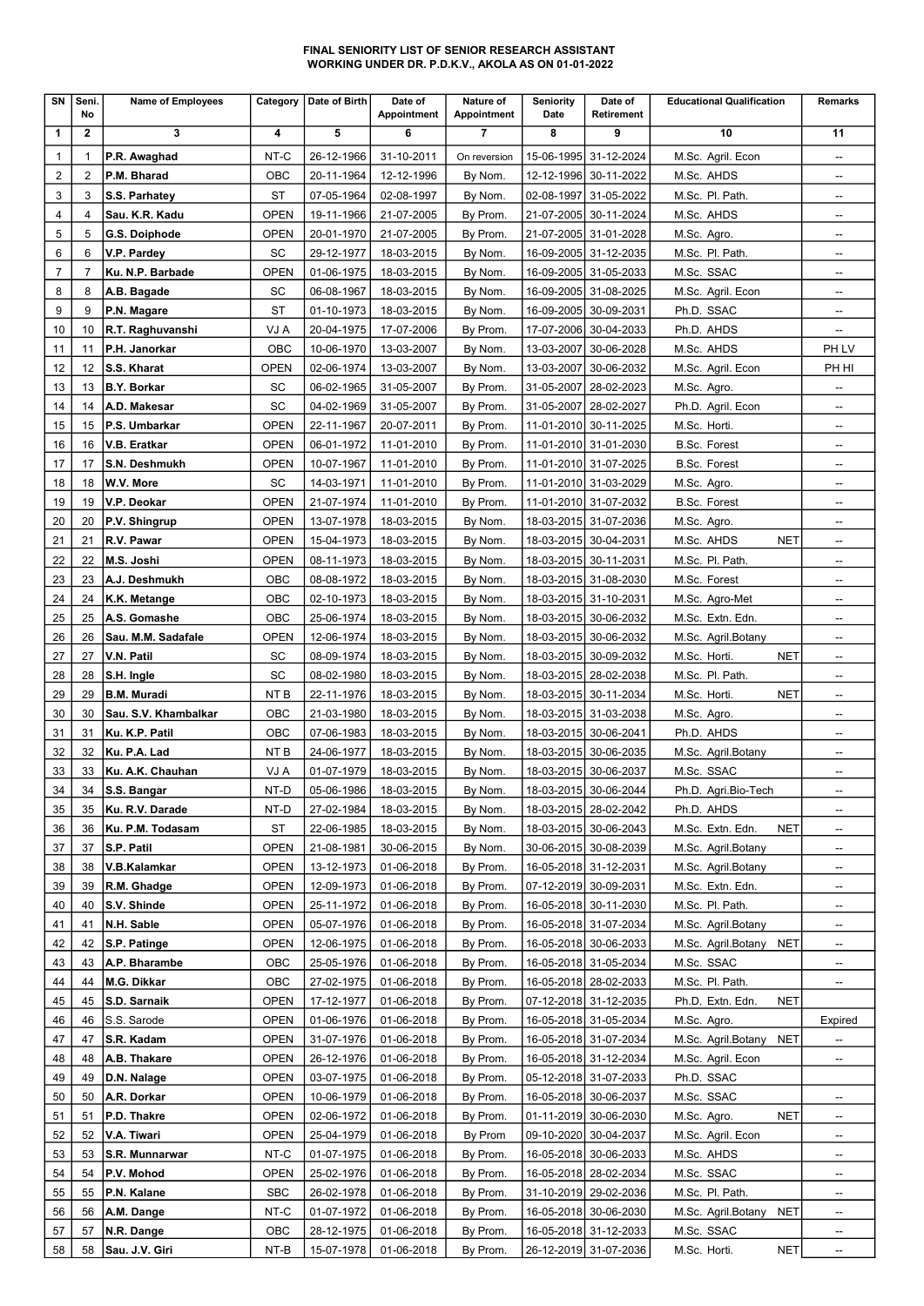### FINAL SENIORITY LIST OF SENIOR RESEARCH ASSISTANT WORKING UNDER DR. P.D.K.V., AKOLA AS ON 01-01-2022

| SN             | Seni.<br>No    | <b>Name of Employees</b> | Category            | Date of Birth | Date of<br>Appointment | Nature of<br>Appointment | <b>Seniority</b><br>Date | Date of<br><b>Retirement</b> | <b>Educational Qualification</b> | Remarks                             |
|----------------|----------------|--------------------------|---------------------|---------------|------------------------|--------------------------|--------------------------|------------------------------|----------------------------------|-------------------------------------|
| 1              | $\mathbf{2}$   | 3                        | 4                   | 5             | 6                      | $\overline{7}$           | 8                        | 9                            | 10                               | 11                                  |
| 1              |                | P.R. Awaghad             | NT-C                | 26-12-1966    | 31-10-2011             | On reversion             | 15-06-1995               | 31-12-2024                   | M.Sc. Agril. Econ                | --                                  |
| 2              | 2              | P.M. Bharad              | OBC                 | 20-11-1964    | 12-12-1996             | By Nom.                  | 12-12-1996               | 30-11-2022                   | M.Sc. AHDS                       | --                                  |
| 3              | 3              | S.S. Parhatey            | ST                  | 07-05-1964    | 02-08-1997             | By Nom.                  | 02-08-1997               | 31-05-2022                   | M.Sc. Pl. Path.                  | --                                  |
| 4              | 4              | Sau. K.R. Kadu           | <b>OPEN</b>         | 19-11-1966    | 21-07-2005             | By Prom.                 | 21-07-2005               | 30-11-2024                   | M.Sc. AHDS                       | --                                  |
| 5              | 5              | G.S. Doiphode            | <b>OPEN</b>         | 20-01-1970    | 21-07-2005             | By Prom.                 |                          | 21-07-2005 31-01-2028        | M.Sc. Agro.                      | --                                  |
| 6              | 6              | V.P. Pardey              | SC                  | 29-12-1977    | 18-03-2015             | By Nom.                  |                          | 16-09-2005 31-12-2035        | M.Sc. Pl. Path.                  | --                                  |
| $\overline{7}$ | $\overline{7}$ | Ku. N.P. Barbade         | <b>OPEN</b>         | 01-06-1975    | 18-03-2015             | By Nom.                  |                          | 16-09-2005 31-05-2033        | M.Sc. SSAC                       | --                                  |
| 8              | 8              | A.B. Bagade              | SC                  | 06-08-1967    | 18-03-2015             | By Nom.                  | 16-09-2005               | 31-08-2025                   | M.Sc. Agril. Econ                | --                                  |
| 9              | 9              | P.N. Magare              | ST                  | 01-10-1973    | 18-03-2015             | By Nom.                  | 16-09-2005               | 30-09-2031                   | Ph.D. SSAC                       | --                                  |
| 10             | 10             | R.T. Raghuvanshi         | VJ A                | 20-04-1975    | 17-07-2006             | By Prom.                 | 17-07-2006               | 30-04-2033                   | Ph.D. AHDS                       | --                                  |
| 11             | 11             | P.H. Janorkar            | OBC                 | 10-06-1970    | 13-03-2007             | By Nom.                  | 13-03-2007               | 30-06-2028                   | M.Sc. AHDS                       | PH LV                               |
| 12             | 12             | S.S. Kharat              | <b>OPEN</b>         | 02-06-1974    | 13-03-2007             | By Nom.                  | 13-03-2007               | 30-06-2032                   | M.Sc. Agril. Econ                | PH HI                               |
| 13             | 13             | <b>B.Y. Borkar</b>       | SC                  | 06-02-1965    | 31-05-2007             | By Prom.                 | 31-05-2007               | 28-02-2023                   | M.Sc. Agro.                      | --                                  |
| 14             | 14             | A.D. Makesar             | SC                  | 04-02-1969    | 31-05-2007             | By Prom.                 |                          | 31-05-2007 28-02-2027        | Ph.D. Agril. Econ                | --                                  |
| 15             | 15             | P.S. Umbarkar            | <b>OPEN</b>         | 22-11-1967    | 20-07-2011             | By Prom.                 |                          | 11-01-2010 30-11-2025        | M.Sc. Horti.                     | --                                  |
| 16             | 16             | V.B. Eratkar             | <b>OPEN</b>         | 06-01-1972    | 11-01-2010             | By Prom.                 |                          | 11-01-2010 31-01-2030        | <b>B.Sc. Forest</b>              | --                                  |
| 17             | 17             | S.N. Deshmukh            | <b>OPEN</b>         | 10-07-1967    | 11-01-2010             | By Prom.                 |                          | 11-01-2010 31-07-2025        | <b>B.Sc. Forest</b>              | --                                  |
| 18             | 18             | W.V. More                | SC                  | 14-03-1971    | 11-01-2010             | By Prom.                 |                          | 11-01-2010 31-03-2029        | M.Sc. Agro.                      | --                                  |
| 19             | 19             | V.P. Deokar              | <b>OPEN</b>         | 21-07-1974    | 11-01-2010             | By Prom.                 |                          | 11-01-2010 31-07-2032        | <b>B.Sc. Forest</b>              | --                                  |
| 20             | 20             | P.V. Shingrup            | <b>OPEN</b>         | 13-07-1978    | 18-03-2015             | By Nom.                  |                          | 18-03-2015 31-07-2036        | M.Sc. Agro.                      | --                                  |
| 21             | 21             | R.V. Pawar               | <b>OPEN</b>         | 15-04-1973    | 18-03-2015             | By Nom.                  |                          | 18-03-2015 30-04-2031        | <b>NET</b><br>M.Sc. AHDS         | $\qquad \qquad \qquad \blacksquare$ |
| 22             | 22             | M.S. Joshi               | <b>OPEN</b>         | 08-11-1973    | 18-03-2015             | By Nom.                  |                          | 18-03-2015 30-11-2031        | M.Sc. Pl. Path.                  | --                                  |
| 23             | 23             | A.J. Deshmukh            | OBC                 | 08-08-1972    | 18-03-2015             | By Nom.                  |                          | 18-03-2015 31-08-2030        | M.Sc. Forest                     | --                                  |
| 24             | 24             | K.K. Metange             | OBC                 | 02-10-1973    | 18-03-2015             | By Nom.                  |                          | 18-03-2015 31-10-2031        | M.Sc. Agro-Met                   | --                                  |
| 25             | 25             | A.S. Gomashe             | OBC                 | 25-06-1974    | 18-03-2015             | By Nom.                  |                          | 18-03-2015 30-06-2032        | M.Sc. Extn. Edn.                 | --                                  |
| 26             | 26             | Sau. M.M. Sadafale       | <b>OPEN</b>         | 12-06-1974    | 18-03-2015             | By Nom.                  | 18-03-2015               | 30-06-2032                   | M.Sc. Agril.Botany               | --                                  |
| 27             | 27             | V.N. Patil               | SC                  | 08-09-1974    | 18-03-2015             | By Nom.                  | 18-03-2015               | 30-09-2032                   | <b>NET</b><br>M.Sc. Horti.       | --                                  |
| 28             | 28             | S.H. Ingle               | SC                  | 08-02-1980    | 18-03-2015             | By Nom.                  |                          | 18-03-2015 28-02-2038        | M.Sc. Pl. Path.                  | --                                  |
| 29             | 29             | <b>B.M. Muradi</b>       | NT <sub>B</sub>     | 22-11-1976    | 18-03-2015             | By Nom.                  |                          | 18-03-2015 30-11-2034        | <b>NET</b><br>M.Sc. Horti.       | --                                  |
| 30             | 30             | Sau. S.V. Khambalkar     | OBC                 | 21-03-1980    | 18-03-2015             | By Nom.                  |                          | 18-03-2015 31-03-2038        | M.Sc. Agro.                      | --                                  |
| 31             | 31             | Ku. K.P. Patil           | OBC                 | 07-06-1983    | 18-03-2015             | By Nom.                  |                          | 18-03-2015 30-06-2041        | Ph.D. AHDS                       | $\overline{\phantom{a}}$            |
| 32             | 32             | Ku. P.A. Lad             | NT <sub>B</sub>     | 24-06-1977    | 18-03-2015             | By Nom.                  |                          | 18-03-2015 30-06-2035        | M.Sc. Agril.Botany               | --                                  |
| 33             | 33             | Ku. A.K. Chauhan         | VJ A                | 01-07-1979    | 18-03-2015             | By Nom.                  |                          | 18-03-2015 30-06-2037        | M.Sc. SSAC                       | --                                  |
| 34             | 34             | S.S. Bangar              | NT-D                | 05-06-1986    | 18-03-2015             | By Nom.                  |                          | 18-03-2015  30-06-2044       | Ph.D. Agri.Bio-Tech              | --                                  |
| 35             | 35             | Ku. R.V. Darade          | NT-D                | 27-02-1984    | 18-03-2015             | By Nom.                  |                          | 18-03-2015 28-02-2042        | Ph.D. AHDS                       | --                                  |
| 36             | 36             | Ku. P.M. Todasam         | ST                  | 22-06-1985    | 18-03-2015             | By Nom.                  |                          | 18-03-2015 30-06-2043        | M.Sc. Extn. Edn.<br><b>NET</b>   | --                                  |
| 37             | 37             | S.P. Patil               | OPEN                | 21-08-1981    | 30-06-2015             | By Nom.                  |                          | 30-06-2015 30-08-2039        | M.Sc. Agril.Botany               | --                                  |
| 38             | 38             | V.B.Kalamkar             | OPEN                | 13-12-1973    | 01-06-2018             | By Prom.                 |                          | 16-05-2018 31-12-2031        | M.Sc. Agril.Botany               | --                                  |
| 39             | 39             | R.M. Ghadge              | OPEN                | 12-09-1973    | 01-06-2018             | By Prom.                 |                          | 07-12-2019 30-09-2031        | M.Sc. Extn. Edn.                 | -−                                  |
| 40             | 40             | S.V. Shinde              | <b>OPEN</b>         | 25-11-1972    | 01-06-2018             | By Prom.                 |                          | 16-05-2018 30-11-2030        | M.Sc. Pl. Path.                  | --                                  |
| 41             | 41             | N.H. Sable               | <b>OPEN</b>         | 05-07-1976    | 01-06-2018             | By Prom.                 |                          | 16-05-2018 31-07-2034        | M.Sc. Agril.Botany               | --                                  |
| 42             | 42             | S.P. Patinge             | <b>OPEN</b>         | 12-06-1975    | 01-06-2018             | By Prom.                 |                          | 16-05-2018 30-06-2033        | M.Sc. Agril.Botany NET           | --                                  |
| 43             | 43             | A.P. Bharambe            | OBC                 | 25-05-1976    | 01-06-2018             | By Prom.                 |                          | 16-05-2018 31-05-2034        | M.Sc. SSAC                       | --                                  |
| 44             | 44             | M.G. Dikkar              | OBC                 | 27-02-1975    | 01-06-2018             | By Prom.                 |                          | 16-05-2018 28-02-2033        | M.Sc. Pl. Path.                  | --                                  |
| 45             | 45             | S.D. Sarnaik             | <b>OPEN</b>         | 17-12-1977    | 01-06-2018             | By Prom.                 |                          | 07-12-2018 31-12-2035        | Ph.D. Extn. Edn.<br><b>NET</b>   |                                     |
| 46             | 46             | S.S. Sarode              | <b>OPEN</b>         | 01-06-1976    | 01-06-2018             | By Prom.                 |                          | 16-05-2018 31-05-2034        | M.Sc. Agro.                      | Expired                             |
|                | 47             | S.R. Kadam               |                     | 31-07-1976    | 01-06-2018             |                          |                          | 16-05-2018 31-07-2034        |                                  |                                     |
| 47             | 48             |                          | OPEN<br><b>OPEN</b> | 26-12-1976    | 01-06-2018             | By Prom.                 |                          | 16-05-2018 31-12-2034        | M.Sc. Agril.Botany<br>NET        | --                                  |
| 48             |                | A.B. Thakare             |                     |               |                        | By Prom.                 |                          |                              | M.Sc. Agril. Econ                | --                                  |
| 49             | 49             | D.N. Nalage              | <b>OPEN</b>         | 03-07-1975    | 01-06-2018             | By Prom.                 |                          | 05-12-2018 31-07-2033        | Ph.D. SSAC                       |                                     |
| 50             | 50             | A.R. Dorkar              | <b>OPEN</b>         | 10-06-1979    | 01-06-2018             | By Prom.                 |                          | 16-05-2018 30-06-2037        | M.Sc. SSAC                       | --                                  |
| 51             | 51             | P.D. Thakre              | <b>OPEN</b>         | 02-06-1972    | 01-06-2018             | By Prom.                 |                          | 01-11-2019 30-06-2030        | M.Sc. Agro.<br><b>NET</b>        | --                                  |
| 52             | 52             | V.A. Tiwari              | <b>OPEN</b>         | 25-04-1979    | 01-06-2018             | By Prom                  |                          | 09-10-2020 30-04-2037        | M.Sc. Agril. Econ                | --                                  |
| 53             | 53             | S.R. Munnarwar           | NT-C                | 01-07-1975    | 01-06-2018             | By Prom.                 |                          | 16-05-2018 30-06-2033        | M.Sc. AHDS                       | --                                  |
| 54             | 54             | P.V. Mohod               | OPEN                | 25-02-1976    | 01-06-2018             | By Prom.                 |                          | 16-05-2018 28-02-2034        | M.Sc. SSAC                       | $\qquad \qquad \qquad \qquad$       |
| 55             | 55             | P.N. Kalane              | <b>SBC</b>          | 26-02-1978    | 01-06-2018             | By Prom.                 |                          | 31-10-2019 29-02-2036        | M.Sc. Pl. Path.                  | --                                  |
| 56             | 56             | A.M. Dange               | NT-C                | 01-07-1972    | 01-06-2018             | By Prom.                 |                          | 16-05-2018 30-06-2030        | M.Sc. Agril.Botany<br>NET        | --                                  |
| 57             | 57             | N.R. Dange               | OBC                 | 28-12-1975    | 01-06-2018             | By Prom.                 |                          | 16-05-2018 31-12-2033        | M.Sc. SSAC                       | --                                  |
| 58             | 58             | Sau. J.V. Giri           | NT-B                | 15-07-1978    | 01-06-2018             | By Prom.                 |                          | 26-12-2019 31-07-2036        | M.Sc. Horti.<br>NET              | --                                  |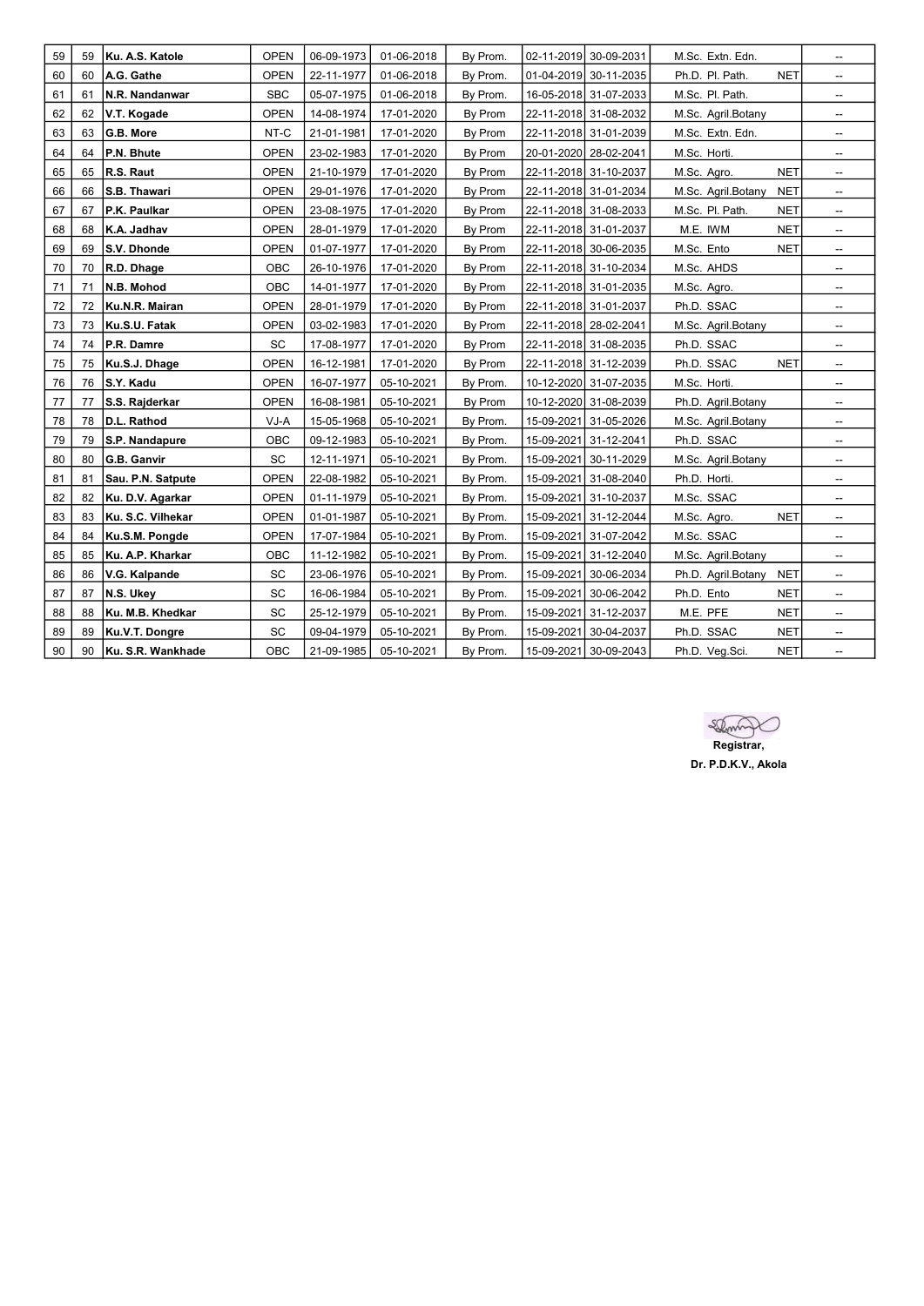| 59 | 59 | Ku. A.S. Katole   | <b>OPEN</b> | 06-09-1973 | 01-06-2018 | By Prom. |            | 02-11-2019 30-09-2031 | M.Sc. Extn. Edn.   |            | --                       |
|----|----|-------------------|-------------|------------|------------|----------|------------|-----------------------|--------------------|------------|--------------------------|
| 60 | 60 | A.G. Gathe        | <b>OPEN</b> | 22-11-1977 | 01-06-2018 | By Prom. |            | 01-04-2019 30-11-2035 | Ph.D. Pl. Path.    | <b>NET</b> | --                       |
| 61 | 61 | N.R. Nandanwar    | <b>SBC</b>  | 05-07-1975 | 01-06-2018 | By Prom. |            | 16-05-2018 31-07-2033 | M.Sc. Pl. Path.    |            | --                       |
| 62 | 62 | V.T. Kogade       | <b>OPEN</b> | 14-08-1974 | 17-01-2020 | By Prom  |            | 22-11-2018 31-08-2032 | M.Sc. Agril.Botany |            | --                       |
| 63 | 63 | G.B. More         | NT-C        | 21-01-1981 | 17-01-2020 | By Prom  |            | 22-11-2018 31-01-2039 | M.Sc. Extn. Edn.   |            | --                       |
| 64 | 64 | P.N. Bhute        | <b>OPEN</b> | 23-02-1983 | 17-01-2020 | By Prom  |            | 20-01-2020 28-02-2041 | M.Sc. Horti.       |            | --                       |
| 65 | 65 | R.S. Raut         | <b>OPEN</b> | 21-10-1979 | 17-01-2020 | By Prom  |            | 22-11-2018 31-10-2037 | M.Sc. Agro.        | <b>NET</b> | --                       |
| 66 | 66 | S.B. Thawari      | <b>OPEN</b> | 29-01-1976 | 17-01-2020 | By Prom  |            | 22-11-2018 31-01-2034 | M.Sc. Agril.Botany | <b>NET</b> | --                       |
| 67 | 67 | P.K. Paulkar      | <b>OPEN</b> | 23-08-1975 | 17-01-2020 | By Prom  |            | 22-11-2018 31-08-2033 | M.Sc. Pl. Path.    | <b>NET</b> | --                       |
| 68 | 68 | K.A. Jadhav       | <b>OPEN</b> | 28-01-1979 | 17-01-2020 | By Prom  |            | 22-11-2018 31-01-2037 | M.E. IWM           | <b>NET</b> | $\overline{\phantom{a}}$ |
| 69 | 69 | S.V. Dhonde       | <b>OPEN</b> | 01-07-1977 | 17-01-2020 | By Prom  |            | 22-11-2018 30-06-2035 | M.Sc. Ento         | <b>NET</b> | --                       |
| 70 | 70 | R.D. Dhage        | OBC         | 26-10-1976 | 17-01-2020 | By Prom  |            | 22-11-2018 31-10-2034 | M.Sc. AHDS         |            | --                       |
| 71 | 71 | N.B. Mohod        | OBC         | 14-01-1977 | 17-01-2020 | By Prom  |            | 22-11-2018 31-01-2035 | M.Sc. Agro.        |            | --                       |
| 72 | 72 | Ku.N.R. Mairan    | <b>OPEN</b> | 28-01-1979 | 17-01-2020 | By Prom  |            | 22-11-2018 31-01-2037 | Ph.D. SSAC         |            | --                       |
| 73 | 73 | Ku.S.U. Fatak     | <b>OPEN</b> | 03-02-1983 | 17-01-2020 | By Prom  |            | 22-11-2018 28-02-2041 | M.Sc. Agril.Botany |            | --                       |
| 74 | 74 | P.R. Damre        | SC          | 17-08-1977 | 17-01-2020 | By Prom  |            | 22-11-2018 31-08-2035 | Ph.D. SSAC         |            | --                       |
| 75 | 75 | Ku.S.J. Dhage     | <b>OPEN</b> | 16-12-1981 | 17-01-2020 | By Prom  |            | 22-11-2018 31-12-2039 | Ph.D. SSAC         | <b>NET</b> | --                       |
| 76 | 76 | S.Y. Kadu         | <b>OPEN</b> | 16-07-1977 | 05-10-2021 | By Prom. |            | 10-12-2020 31-07-2035 | M.Sc. Horti.       |            | --                       |
| 77 | 77 | S.S. Rajderkar    | <b>OPEN</b> | 16-08-1981 | 05-10-2021 | By Prom  |            | 10-12-2020 31-08-2039 | Ph.D. Agril.Botany |            | --                       |
| 78 | 78 | D.L. Rathod       | VJ-A        | 15-05-1968 | 05-10-2021 | By Prom. |            | 15-09-2021 31-05-2026 | M.Sc. Agril.Botany |            | --                       |
| 79 | 79 | S.P. Nandapure    | OBC         | 09-12-1983 | 05-10-2021 | By Prom. | 15-09-2021 | 31-12-2041            | Ph.D. SSAC         |            | --                       |
| 80 | 80 | G.B. Ganvir       | SC          | 12-11-1971 | 05-10-2021 | By Prom. | 15-09-2021 | 30-11-2029            | M.Sc. Agril.Botany |            | --                       |
| 81 | 81 | Sau. P.N. Satpute | <b>OPEN</b> | 22-08-1982 | 05-10-2021 | By Prom. |            | 15-09-2021 31-08-2040 | Ph.D. Horti.       |            | --                       |
| 82 | 82 | Ku. D.V. Agarkar  | <b>OPEN</b> | 01-11-1979 | 05-10-2021 | By Prom. |            | 15-09-2021 31-10-2037 | M.Sc. SSAC         |            | --                       |
| 83 | 83 | Ku. S.C. Vilhekar | <b>OPEN</b> | 01-01-1987 | 05-10-2021 | By Prom. |            | 15-09-2021 31-12-2044 | M.Sc. Agro.        | <b>NET</b> | --                       |
| 84 | 84 | Ku.S.M. Pongde    | <b>OPEN</b> | 17-07-1984 | 05-10-2021 | By Prom. |            | 15-09-2021 31-07-2042 | M.Sc. SSAC         |            | --                       |
| 85 | 85 | Ku. A.P. Kharkar  | OBC         | 11-12-1982 | 05-10-2021 | By Prom. | 15-09-2021 | 31-12-2040            | M.Sc. Agril.Botany |            | --                       |
| 86 | 86 | V.G. Kalpande     | SC          | 23-06-1976 | 05-10-2021 | By Prom. | 15-09-2021 | 30-06-2034            | Ph.D. Agril.Botany | <b>NET</b> | --                       |
| 87 | 87 | N.S. Ukev         | SC          | 16-06-1984 | 05-10-2021 | By Prom. | 15-09-2021 | 30-06-2042            | Ph.D. Ento         | <b>NET</b> | --                       |
| 88 | 88 | Ku. M.B. Khedkar  | SC          | 25-12-1979 | 05-10-2021 | By Prom. |            | 15-09-2021 31-12-2037 | M.E. PFE           | <b>NET</b> | --                       |
| 89 | 89 | Ku.V.T. Dongre    | SC          | 09-04-1979 | 05-10-2021 | By Prom. |            | 15-09-2021 30-04-2037 | Ph.D. SSAC         | <b>NET</b> | --                       |
| 90 | 90 | Ku. S.R. Wankhade | OBC         | 21-09-1985 | 05-10-2021 | By Prom. | 15-09-2021 | 30-09-2043            | Ph.D. Veg.Sci.     | <b>NET</b> | --                       |

Stamp

Registrar, Dr. P.D.K.V., Akola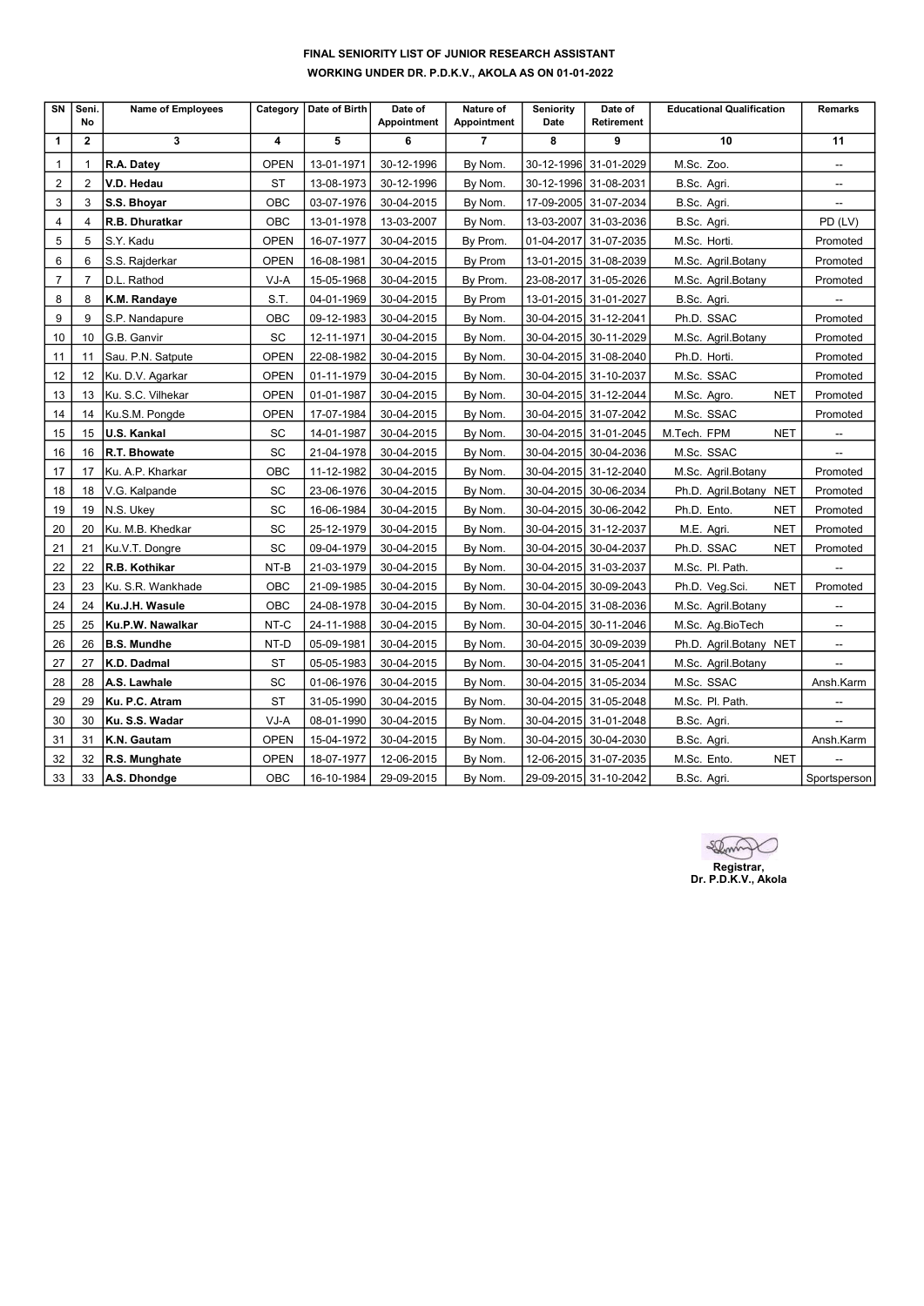# FINAL SENIORITY LIST OF JUNIOR RESEARCH ASSISTANT WORKING UNDER DR. P.D.K.V., AKOLA AS ON 01-01-2022

| SN             | Seni.<br>No    | <b>Name of Employees</b> | Category    | Date of Birth | Date of<br>Appointment | Nature of<br>Appointment | <b>Seniority</b><br>Date | Date of<br><b>Retirement</b> | <b>Educational Qualification</b> | <b>Remarks</b>           |
|----------------|----------------|--------------------------|-------------|---------------|------------------------|--------------------------|--------------------------|------------------------------|----------------------------------|--------------------------|
| 1              | $\mathbf{2}$   | 3                        | 4           | 5             | 6                      | $\overline{7}$           | 8                        | 9                            | 10                               | 11                       |
| $\mathbf{1}$   | 1              | R.A. Datey               | <b>OPEN</b> | 13-01-1971    | 30-12-1996             | By Nom.                  |                          | 30-12-1996 31-01-2029        | M.Sc. Zoo.                       | $\overline{\phantom{a}}$ |
| $\overline{2}$ | 2              | V.D. Hedau               | <b>ST</b>   | 13-08-1973    | 30-12-1996             | By Nom.                  |                          | 30-12-1996 31-08-2031        | B.Sc. Agri.                      | --                       |
| 3              | 3              | S.S. Bhoyar              | OBC         | 03-07-1976    | 30-04-2015             | By Nom.                  |                          | 17-09-2005 31-07-2034        | B.Sc. Agri.                      | $\overline{\phantom{a}}$ |
| $\overline{4}$ | 4              | R.B. Dhuratkar           | OBC         | 13-01-1978    | 13-03-2007             | By Nom.                  |                          | 13-03-2007 31-03-2036        | B.Sc. Agri.                      | PD (LV)                  |
| 5              | 5              | S.Y. Kadu                | <b>OPEN</b> | 16-07-1977    | 30-04-2015             | By Prom.                 |                          | 01-04-2017 31-07-2035        | M.Sc. Horti.                     | Promoted                 |
| 6              | 6              | S.S. Rajderkar           | <b>OPEN</b> | 16-08-1981    | 30-04-2015             | By Prom                  |                          | 13-01-2015 31-08-2039        | M.Sc. Agril.Botany               | Promoted                 |
| $\overline{7}$ | $\overline{7}$ | D.L. Rathod              | VJ-A        | 15-05-1968    | 30-04-2015             | By Prom.                 | 23-08-2017               | 31-05-2026                   | M.Sc. Agril.Botany               | Promoted                 |
| 8              | 8              | K.M. Randaye             | S.T.        | 04-01-1969    | 30-04-2015             | By Prom                  |                          | 13-01-2015 31-01-2027        | B.Sc. Agri.                      |                          |
| 9              | 9              | S.P. Nandapure           | OBC         | 09-12-1983    | 30-04-2015             | By Nom.                  |                          | 30-04-2015 31-12-2041        | Ph.D. SSAC                       | Promoted                 |
| 10             | 10             | G.B. Ganvir              | SC          | 12-11-1971    | 30-04-2015             | By Nom.                  |                          | 30-04-2015 30-11-2029        | M.Sc. Agril.Botany               | Promoted                 |
| 11             | 11             | Sau. P.N. Satpute        | <b>OPEN</b> | 22-08-1982    | 30-04-2015             | By Nom.                  |                          | 30-04-2015 31-08-2040        | Ph.D. Horti.                     | Promoted                 |
| 12             | 12             | Ku. D.V. Agarkar         | <b>OPEN</b> | 01-11-1979    | 30-04-2015             | By Nom.                  |                          | 30-04-2015 31-10-2037        | M.Sc. SSAC                       | Promoted                 |
| 13             | 13             | Ku. S.C. Vilhekar        | <b>OPEN</b> | 01-01-1987    | 30-04-2015             | By Nom.                  |                          | 30-04-2015 31-12-2044        | <b>NET</b><br>M.Sc. Agro.        | Promoted                 |
| 14             | 14             | Ku.S.M. Pongde           | <b>OPEN</b> | 17-07-1984    | 30-04-2015             | By Nom.                  |                          | 30-04-2015 31-07-2042        | M.Sc. SSAC                       | Promoted                 |
| 15             | 15             | <b>U.S. Kankal</b>       | SC          | 14-01-1987    | 30-04-2015             | By Nom.                  |                          | 30-04-2015 31-01-2045        | <b>NET</b><br>M.Tech. FPM        | --                       |
| 16             | 16             | R.T. Bhowate             | SC          | 21-04-1978    | 30-04-2015             | By Nom.                  |                          | 30-04-2015 30-04-2036        | M.Sc. SSAC                       | --                       |
| 17             | 17             | Ku. A.P. Kharkar         | OBC         | 11-12-1982    | 30-04-2015             | By Nom.                  |                          | 30-04-2015 31-12-2040        | M.Sc. Agril.Botany               | Promoted                 |
| 18             | 18             | V.G. Kalpande            | SC          | 23-06-1976    | 30-04-2015             | By Nom.                  |                          | 30-04-2015 30-06-2034        | Ph.D. Agril.Botany NET           | Promoted                 |
| 19             | 19             | N.S. Ukey                | SC          | 16-06-1984    | 30-04-2015             | By Nom.                  |                          | 30-04-2015 30-06-2042        | Ph.D. Ento.<br><b>NET</b>        | Promoted                 |
| 20             | 20             | Ku. M.B. Khedkar         | SC          | 25-12-1979    | 30-04-2015             | By Nom.                  |                          | 30-04-2015 31-12-2037        | <b>NET</b><br>M.E. Agri.         | Promoted                 |
| 21             | 21             | Ku.V.T. Dongre           | SC          | 09-04-1979    | 30-04-2015             | By Nom.                  |                          | 30-04-2015 30-04-2037        | Ph.D. SSAC<br><b>NET</b>         | Promoted                 |
| 22             | 22             | R.B. Kothikar            | NT-B        | 21-03-1979    | 30-04-2015             | By Nom.                  |                          | 30-04-2015 31-03-2037        | M.Sc. Pl. Path.                  |                          |
| 23             | 23             | Ku. S.R. Wankhade        | OBC         | 21-09-1985    | 30-04-2015             | By Nom.                  |                          | 30-04-2015 30-09-2043        | <b>NET</b><br>Ph.D. Veg.Sci.     | Promoted                 |
| 24             | 24             | Ku.J.H. Wasule           | OBC         | 24-08-1978    | 30-04-2015             | By Nom.                  |                          | 30-04-2015 31-08-2036        | M.Sc. Agril.Botany               | $\overline{\phantom{a}}$ |
| 25             | 25             | Ku.P.W. Nawalkar         | NT-C        | 24-11-1988    | 30-04-2015             | By Nom.                  |                          | 30-04-2015 30-11-2046        | M.Sc. Ag.BioTech                 | $\overline{\phantom{a}}$ |
| 26             | 26             | <b>B.S. Mundhe</b>       | NT-D        | 05-09-1981    | 30-04-2015             | By Nom.                  |                          | 30-04-2015 30-09-2039        | Ph.D. Agril.Botany NET           | $\overline{\phantom{a}}$ |
| 27             | 27             | K.D. Dadmal              | <b>ST</b>   | 05-05-1983    | 30-04-2015             | By Nom.                  |                          | 30-04-2015 31-05-2041        | M.Sc. Agril.Botany               |                          |
| 28             | 28             | A.S. Lawhale             | SC          | 01-06-1976    | 30-04-2015             | By Nom.                  |                          | 30-04-2015 31-05-2034        | M.Sc. SSAC                       | Ansh.Karm                |
| 29             | 29             | Ku. P.C. Atram           | <b>ST</b>   | 31-05-1990    | 30-04-2015             | By Nom.                  |                          | 30-04-2015 31-05-2048        | M.Sc. Pl. Path.                  | --                       |
| 30             | 30             | Ku. S.S. Wadar           | VJ-A        | 08-01-1990    | 30-04-2015             | By Nom.                  |                          | 30-04-2015 31-01-2048        | B.Sc. Agri.                      | --                       |
| 31             | 31             | K.N. Gautam              | <b>OPEN</b> | 15-04-1972    | 30-04-2015             | By Nom.                  |                          | 30-04-2015 30-04-2030        | B.Sc. Agri.                      | Ansh.Karm                |
| 32             | 32             | R.S. Munghate            | <b>OPEN</b> | 18-07-1977    | 12-06-2015             | By Nom.                  |                          | 12-06-2015 31-07-2035        | <b>NET</b><br>M.Sc. Ento.        |                          |
| 33             | 33             | A.S. Dhondge             | OBC         | 16-10-1984    | 29-09-2015             | By Nom.                  |                          | 29-09-2015 31-10-2042        | B.Sc. Agri.                      | Sportsperson             |

Shown Registrar, Dr. P.D.K.V., Akola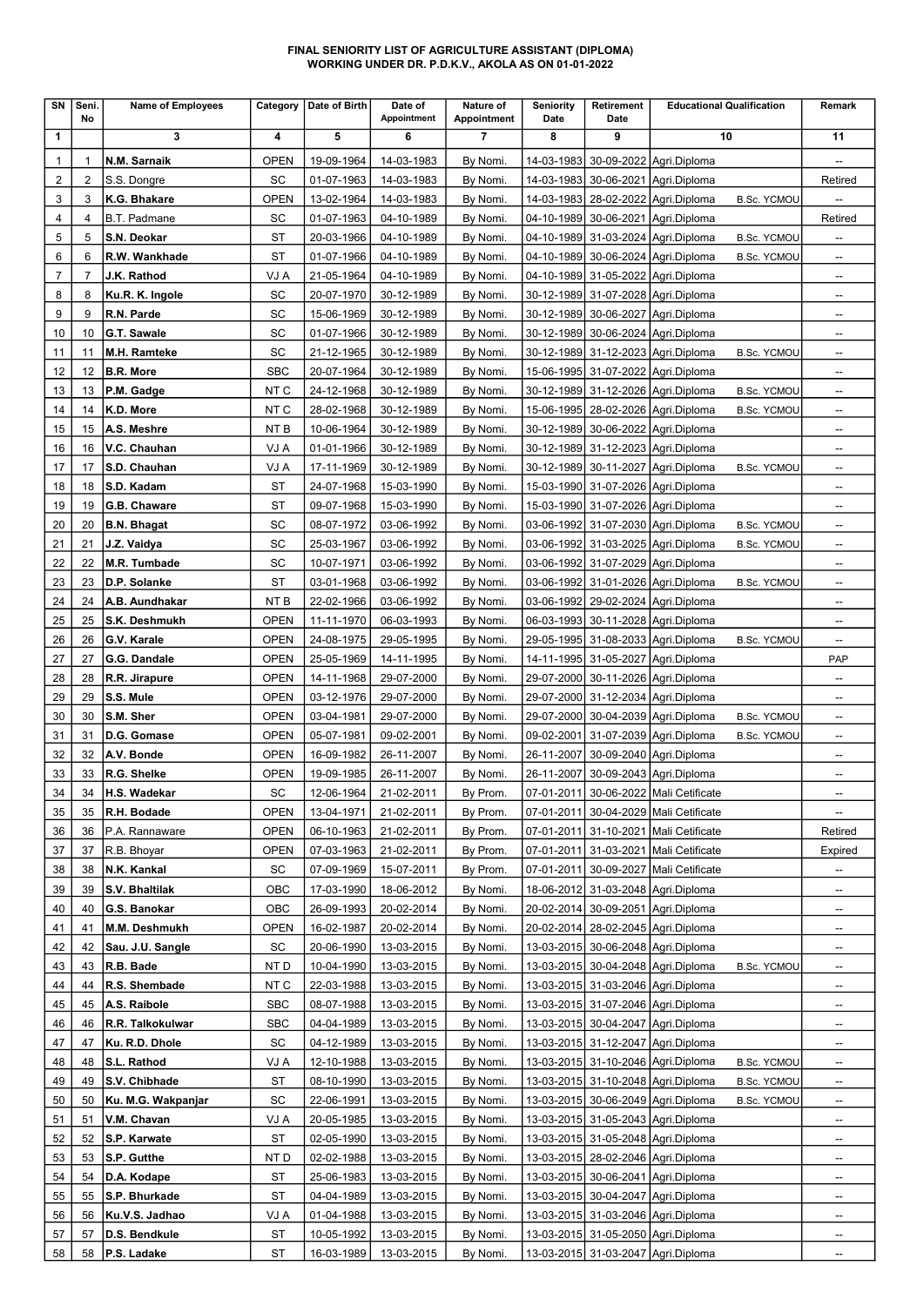#### FINAL SENIORITY LIST OF AGRICULTURE ASSISTANT (DIPLOMA) WORKING UNDER DR. P.D.K.V., AKOLA AS ON 01-01-2022

| SΝ             | Seni.<br>No    | Name of Employees                |                              | Category   Date of Birth | Date of<br>Appointment   | Nature of<br><b>Appointment</b> | <b>Seniority</b><br>Date | Retirement<br>Date | <b>Educational Qualification</b>                                                               | Remark                         |
|----------------|----------------|----------------------------------|------------------------------|--------------------------|--------------------------|---------------------------------|--------------------------|--------------------|------------------------------------------------------------------------------------------------|--------------------------------|
| 1              |                | 3                                | 4                            | 5                        | 6                        | 7                               | 8                        | 9                  | 10                                                                                             | 11                             |
| $\mathbf{1}$   |                | N.M. Sarnaik                     | <b>OPEN</b>                  | 19-09-1964               | 14-03-1983               | By Nomi.                        |                          |                    | 14-03-1983 30-09-2022 Agri.Diploma                                                             | --                             |
| $\overline{2}$ | 2              | S.S. Dongre                      | SC                           | 01-07-1963               | 14-03-1983               | By Nomi.                        |                          |                    | 14-03-1983 30-06-2021 Agri.Diploma                                                             | Retired                        |
| 3              | 3              | K.G. Bhakare                     | <b>OPEN</b>                  | 13-02-1964               | 14-03-1983               | By Nomi.                        |                          |                    | 14-03-1983   28-02-2022   Agri. Diploma<br><b>B.Sc. YCMOU</b>                                  |                                |
| 4              | 4              | B.T. Padmane                     | SC                           | 01-07-1963               | 04-10-1989               | By Nomi.                        |                          |                    | 04-10-1989 30-06-2021 Agri.Diploma                                                             | Retired                        |
| 5              | 5              | S.N. Deokar                      | ST                           | 20-03-1966               | 04-10-1989               | By Nomi.                        |                          |                    | 04-10-1989 31-03-2024 Agri.Diploma<br><b>B.Sc. YCMOU</b>                                       | $\overline{\phantom{a}}$       |
| 6              | 6              | R.W. Wankhade                    | <b>ST</b>                    | 01-07-1966               | 04-10-1989               | By Nomi.                        |                          |                    | 04-10-1989 30-06-2024 Agri.Diploma<br><b>B.Sc. YCMOU</b>                                       | $\overline{\phantom{a}}$       |
| $\overline{7}$ | $\overline{7}$ | J.K. Rathod                      | VJ A                         | 21-05-1964               | 04-10-1989               | By Nomi.                        |                          |                    | 04-10-1989 31-05-2022 Agri.Diploma                                                             | $\overline{\phantom{a}}$       |
| 8              | 8              | Ku.R. K. Ingole                  | SC                           | 20-07-1970               | 30-12-1989               | By Nomi.                        |                          |                    | 30-12-1989 31-07-2028 Agri.Diploma                                                             | $\overline{\phantom{a}}$       |
| 9              | 9              | R.N. Parde                       | SC                           | 15-06-1969               | 30-12-1989               | By Nomi.                        |                          |                    | 30-12-1989 30-06-2027 Agri.Diploma                                                             | --                             |
| 10             | 10             | G.T. Sawale                      | SC                           | 01-07-1966               | 30-12-1989               | By Nomi.                        |                          |                    | 30-12-1989 30-06-2024 Agri.Diploma                                                             | $\overline{\phantom{a}}$       |
| 11<br>12       | 11<br>12       | M.H. Ramteke<br><b>B.R. More</b> | SC<br><b>SBC</b>             | 21-12-1965<br>20-07-1964 | 30-12-1989<br>30-12-1989 | By Nomi.<br>By Nomi.            |                          |                    | 30-12-1989 31-12-2023 Agri.Diploma<br><b>B.Sc. YCMOU</b><br>15-06-1995 31-07-2022 Agri.Diploma | --<br>$\overline{\phantom{a}}$ |
| 13             | 13             | P.M. Gadge                       | NT C                         | 24-12-1968               | 30-12-1989               | By Nomi.                        |                          |                    | 30-12-1989 31-12-2026 Agri.Diploma<br><b>B.Sc. YCMOU</b>                                       | --                             |
| 14             | 14             | K.D. More                        | NT C                         | 28-02-1968               | 30-12-1989               | By Nomi.                        |                          |                    | 15-06-1995   28-02-2026   Agri. Diploma<br><b>B.Sc. YCMOU</b>                                  | $\overline{\phantom{a}}$       |
| 15             | 15             | A.S. Meshre                      | NT <sub>B</sub>              | 10-06-1964               | 30-12-1989               | By Nomi.                        |                          |                    | 30-12-1989 30-06-2022 Agri.Diploma                                                             | $\overline{\phantom{a}}$       |
| 16             | 16             | V.C. Chauhan                     | VJ A                         | 01-01-1966               | 30-12-1989               | By Nomi.                        |                          |                    | 30-12-1989 31-12-2023 Agri.Diploma                                                             | $\overline{\phantom{a}}$       |
| 17             | 17             | S.D. Chauhan                     | VJ A                         | 17-11-1969               | 30-12-1989               | By Nomi.                        |                          |                    | 30-12-1989 30-11-2027 Agri.Diploma<br><b>B.Sc. YCMOU</b>                                       | --                             |
| 18             | 18             | S.D. Kadam                       | ST                           | 24-07-1968               | 15-03-1990               | By Nomi.                        |                          |                    | 15-03-1990 31-07-2026 Agri.Diploma                                                             | --                             |
| 19             | 19             | G.B. Chaware                     | ST                           | 09-07-1968               | 15-03-1990               | By Nomi.                        |                          |                    | 15-03-1990 31-07-2026 Agri.Diploma                                                             | $\overline{\phantom{a}}$       |
| 20             | 20             | <b>B.N. Bhagat</b>               | SC                           | 08-07-1972               | 03-06-1992               | By Nomi.                        |                          |                    | 03-06-1992 31-07-2030 Agri.Diploma<br><b>B.Sc. YCMOU</b>                                       | $\overline{\phantom{a}}$       |
| 21             | 21             | J.Z. Vaidya                      | SC                           | 25-03-1967               | 03-06-1992               | By Nomi.                        |                          |                    | 03-06-1992 31-03-2025 Agri.Diploma<br><b>B.Sc. YCMOU</b>                                       | --                             |
| 22             | 22             | M.R. Tumbade                     | SC                           | 10-07-1971               | 03-06-1992               | By Nomi.                        |                          |                    | 03-06-1992 31-07-2029 Agri.Diploma                                                             | $\overline{\phantom{a}}$       |
| 23             | 23             | D.P. Solanke                     | ST                           | 03-01-1968               | 03-06-1992               | By Nomi.                        | 03-06-1992               |                    | 31-01-2026 Agri.Diploma<br><b>B.Sc. YCMOU</b>                                                  | $\overline{\phantom{a}}$       |
| 24             | 24             | A.B. Aundhakar                   | NT B                         | 22-02-1966               | 03-06-1992               | By Nomi.                        | 03-06-1992               |                    | 29-02-2024 Agri.Diploma                                                                        | $\overline{\phantom{a}}$       |
| 25             | 25             | S.K. Deshmukh                    | <b>OPEN</b>                  | 11-11-1970               | 06-03-1993               | By Nomi.                        |                          |                    | 06-03-1993 30-11-2028 Agri.Diploma                                                             | $\overline{\phantom{a}}$       |
| 26             | 26             | G.V. Karale                      | <b>OPEN</b>                  | 24-08-1975               | 29-05-1995               | By Nomi.                        |                          |                    | 29-05-1995 31-08-2033 Agri.Diploma<br><b>B.Sc. YCMOU</b>                                       | $\overline{\phantom{a}}$       |
| 27             | 27             | G.G. Dandale                     | <b>OPEN</b>                  | 25-05-1969               | 14-11-1995               | By Nomi.                        |                          |                    | 14-11-1995 31-05-2027 Agri.Diploma                                                             | PAP                            |
| 28             | 28             | R.R. Jirapure                    | <b>OPEN</b>                  | 14-11-1968               | 29-07-2000               | By Nomi.                        |                          |                    | 29-07-2000 30-11-2026 Agri.Diploma                                                             | $\overline{\phantom{a}}$       |
| 29             | 29             | S.S. Mule                        | <b>OPEN</b>                  | 03-12-1976               | 29-07-2000               | By Nomi.                        |                          |                    | 29-07-2000 31-12-2034 Agri.Diploma                                                             | $\overline{\phantom{a}}$       |
| 30             | 30             | S.M. Sher                        | <b>OPEN</b>                  | 03-04-1981               | 29-07-2000               | By Nomi.                        |                          |                    | 29-07-2000 30-04-2039 Agri.Diploma<br><b>B.Sc. YCMOU</b>                                       | $\overline{\phantom{a}}$       |
| 31             | 31             | D.G. Gomase                      | <b>OPEN</b>                  | 05-07-1981               | 09-02-2001               | By Nomi.                        | 09-02-2001               |                    | 31-07-2039 Agri.Diploma<br><b>B.Sc. YCMOU</b>                                                  | $\overline{\phantom{a}}$       |
| 32             | 32             | A.V. Bonde                       | <b>OPEN</b>                  | 16-09-1982               | 26-11-2007               | By Nomi.                        | 26-11-2007               |                    | 30-09-2040   Agri. Diploma                                                                     | $\overline{\phantom{a}}$       |
| 33             | 33             | R.G. Shelke                      | <b>OPEN</b>                  | 19-09-1985               | 26-11-2007               | By Nomi.                        |                          |                    | 26-11-2007 30-09-2043 Agri.Diploma                                                             | --                             |
| 34             |                | 34 H.S. Wadekar                  | $\operatorname{\textsf{SC}}$ | 12-06-1964               | 21-02-2011               | By Prom.                        |                          |                    | 07-01-2011 30-06-2022 Mali Cetificate                                                          |                                |
| 35             | 35             | R.H. Bodade                      | OPEN                         | 13-04-1971               | 21-02-2011               | By Prom.                        |                          |                    | 07-01-2011 30-04-2029 Mali Cetificate                                                          |                                |
| 36             | 36             | P.A. Rannaware                   | OPEN                         | 06-10-1963               | 21-02-2011               | By Prom.                        |                          |                    | 07-01-2011 31-10-2021 Mali Cetificate                                                          | Retired                        |
| 37             | 37             | R.B. Bhoyar<br>N.K. Kankal       | OPEN<br>SC                   | 07-03-1963               | 21-02-2011               | By Prom.                        |                          |                    | 07-01-2011 31-03-2021 Mali Cetificate<br>07-01-2011 30-09-2027 Mali Cetificate                 | Expired                        |
| 38<br>39       | 38<br>39       | S.V. Bhaltilak                   | OBC                          | 07-09-1969<br>17-03-1990 | 15-07-2011<br>18-06-2012 | By Prom.                        |                          |                    | 18-06-2012 31-03-2048 Agri.Diploma                                                             | --<br>--                       |
| 40             | 40             | G.S. Banokar                     | OBC                          | 26-09-1993               | 20-02-2014               | By Nomi.<br>By Nomi.            |                          |                    | 20-02-2014 30-09-2051 Agri.Diploma                                                             | $\overline{\phantom{a}}$       |
| 41             | 41             | M.M. Deshmukh                    | <b>OPEN</b>                  | 16-02-1987               | 20-02-2014               | By Nomi.                        |                          |                    | 20-02-2014 28-02-2045 Agri.Diploma                                                             | --                             |
| 42             | 42             | Sau. J.U. Sangle                 | SC                           | 20-06-1990               | 13-03-2015               | By Nomi.                        |                          |                    | 13-03-2015 30-06-2048 Agri.Diploma                                                             | --                             |
| 43             | 43             | R.B. Bade                        | NT D                         | 10-04-1990               | 13-03-2015               | By Nomi.                        |                          |                    | 13-03-2015 30-04-2048 Agri.Diploma<br><b>B.Sc. YCMOU</b>                                       | --                             |
| 44             | 44             | R.S. Shembade                    | NT C                         | 22-03-1988               | 13-03-2015               | By Nomi.                        |                          |                    | 13-03-2015 31-03-2046 Agri.Diploma                                                             | $\overline{\phantom{a}}$       |
| 45             | 45             | A.S. Raibole                     | <b>SBC</b>                   | 08-07-1988               | 13-03-2015               | By Nomi.                        |                          |                    | 13-03-2015 31-07-2046 Agri.Diploma                                                             | --                             |
| 46             | 46             | R.R. Talkokulwar                 | <b>SBC</b>                   | 04-04-1989               | 13-03-2015               | By Nomi.                        |                          |                    | 13-03-2015 30-04-2047 Agri.Diploma                                                             | --                             |
| 47             | 47             | Ku. R.D. Dhole                   | SC                           | 04-12-1989               | 13-03-2015               | By Nomi.                        |                          |                    | 13-03-2015 31-12-2047 Agri.Diploma                                                             | --                             |
| 48             | 48             | S.L. Rathod                      | VJ A                         | 12-10-1988               | 13-03-2015               | By Nomi.                        |                          |                    | 13-03-2015 31-10-2046 Agri.Diploma<br><b>B.Sc. YCMOU</b>                                       | --                             |
| 49             | 49             | S.V. Chibhade                    | ST                           | 08-10-1990               | 13-03-2015               | By Nomi.                        |                          |                    | 13-03-2015 31-10-2048 Agri.Diploma<br><b>B.Sc. YCMOU</b>                                       | --                             |
| 50             | 50             | Ku. M.G. Wakpanjar               | SC                           | 22-06-1991               | 13-03-2015               | By Nomi.                        |                          |                    | 13-03-2015 30-06-2049 Agri.Diploma<br><b>B.Sc. YCMOU</b>                                       | --                             |
| 51             | 51             | V.M. Chavan                      | VJ A                         | 20-05-1985               | 13-03-2015               | By Nomi.                        |                          |                    | 13-03-2015 31-05-2043 Agri.Diploma                                                             | --                             |
| 52             | 52             | S.P. Karwate                     | ST                           | 02-05-1990               | 13-03-2015               | By Nomi.                        |                          |                    | 13-03-2015 31-05-2048 Agri.Diploma                                                             | --                             |
| 53             | 53             | S.P. Gutthe                      | NT D                         | 02-02-1988               | 13-03-2015               | By Nomi.                        |                          |                    | 13-03-2015   28-02-2046   Agri. Diploma                                                        | $\overline{\phantom{a}}$       |
| 54             | 54             | D.A. Kodape                      | ST                           | 25-06-1983               | 13-03-2015               | By Nomi.                        |                          |                    | 13-03-2015 30-06-2041 Agri.Diploma                                                             | --                             |
| 55             | 55             | S.P. Bhurkade                    | ST                           | 04-04-1989               | 13-03-2015               | By Nomi.                        |                          |                    | 13-03-2015 30-04-2047 Agri.Diploma                                                             | --                             |
| 56             | 56             | Ku.V.S. Jadhao                   | VJ A                         | 01-04-1988               | 13-03-2015               | By Nomi.                        |                          |                    | 13-03-2015 31-03-2046 Agri.Diploma                                                             | --                             |
| 57             | 57             | D.S. Bendkule                    | ST                           | 10-05-1992               | 13-03-2015               | By Nomi.                        |                          |                    | 13-03-2015 31-05-2050 Agri.Diploma                                                             | --                             |
| 58             | 58             | P.S. Ladake                      | ST                           | 16-03-1989               | 13-03-2015               | By Nomi.                        |                          |                    | 13-03-2015 31-03-2047 Agri.Diploma                                                             | --                             |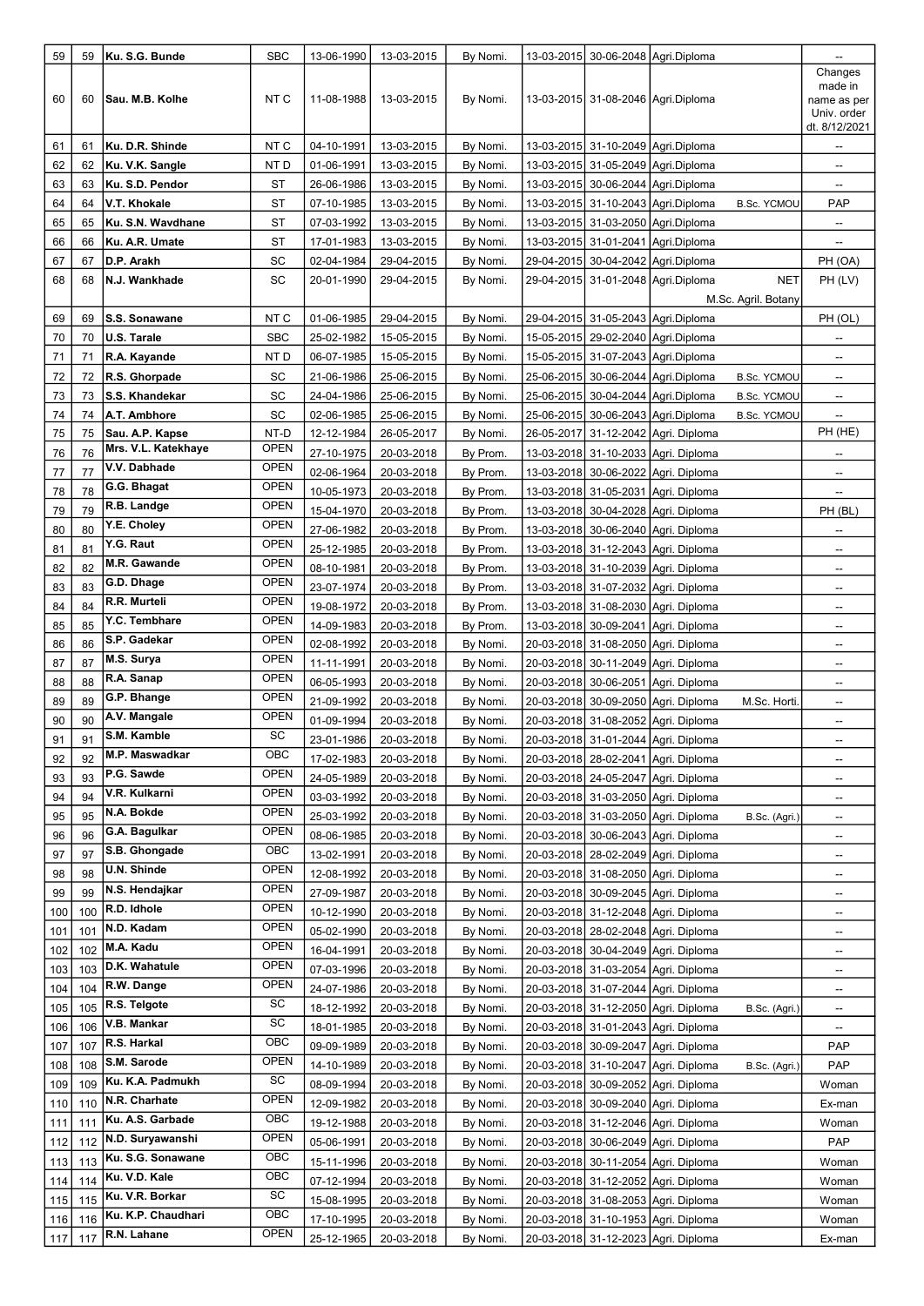| 59  | 59  | Ku. S.G. Bunde         | <b>SBC</b>  | 13-06-1990 | 13-03-2015 | By Nomi. |            | 13-03-2015 30-06-2048 Agri.Diploma                        |                    | --                                                                |
|-----|-----|------------------------|-------------|------------|------------|----------|------------|-----------------------------------------------------------|--------------------|-------------------------------------------------------------------|
| 60  | 60  | <b>Sau. M.B. Kolhe</b> | NT C        | 11-08-1988 | 13-03-2015 | By Nomi. |            | 13-03-2015 31-08-2046 Agri.Diploma                        |                    | Changes<br>made in<br>name as per<br>Univ. order<br>dt. 8/12/2021 |
| 61  | 61  | Ku. D.R. Shinde        | NT C        | 04-10-1991 | 13-03-2015 | By Nomi. |            | 13-03-2015 31-10-2049 Agri.Diploma                        |                    | --                                                                |
| 62  | 62  | Ku. V.K. Sangle        | NT D        | 01-06-1991 | 13-03-2015 | By Nomi. |            | 13-03-2015 31-05-2049 Agri.Diploma                        |                    | $\overline{\phantom{a}}$                                          |
| 63  | 63  | Ku. S.D. Pendor        | ST          | 26-06-1986 | 13-03-2015 | By Nomi. |            | 13-03-2015 30-06-2044 Agri.Diploma                        |                    | --                                                                |
| 64  | 64  | V.T. Khokale           | ST          | 07-10-1985 | 13-03-2015 | By Nomi. | 13-03-2015 | 31-10-2043 Agri.Diploma<br><b>B.Sc. YCMOU</b>             |                    | PAP                                                               |
| 65  | 65  | Ku. S.N. Wavdhane      | ST          | 07-03-1992 | 13-03-2015 | By Nomi. | 13-03-2015 | 31-03-2050 Agri.Diploma                                   |                    | --                                                                |
| 66  | 66  | Ku. A.R. Umate         | ST          | 17-01-1983 | 13-03-2015 | By Nomi. |            | 13-03-2015 31-01-2041 Agri.Diploma                        |                    | --                                                                |
| 67  | 67  | D.P. Arakh             | SC          | 02-04-1984 | 29-04-2015 | By Nomi. | 29-04-2015 | 30-04-2042 Agri.Diploma                                   |                    | PH (OA)                                                           |
| 68  | 68  | N.J. Wankhade          | SC          | 20-01-1990 | 29-04-2015 | By Nomi. |            | 29-04-2015 31-01-2048 Agri.Diploma<br>M.Sc. Agril. Botany | <b>NET</b>         | PH (LV)                                                           |
| 69  | 69  | S.S. Sonawane          | NT C        | 01-06-1985 | 29-04-2015 | By Nomi. |            | 29-04-2015 31-05-2043 Agri.Diploma                        |                    | PH (OL)                                                           |
| 70  | 70  | U.S. Tarale            | <b>SBC</b>  | 25-02-1982 | 15-05-2015 | By Nomi. |            | 15-05-2015   29-02-2040   Agri. Diploma                   |                    | --                                                                |
| 71  | 71  | R.A. Kayande           | NT D        | 06-07-1985 | 15-05-2015 | By Nomi. |            | 15-05-2015 31-07-2043 Agri.Diploma                        |                    | --                                                                |
| 72  | 72  | R.S. Ghorpade          | SC          | 21-06-1986 | 25-06-2015 | By Nomi. | 25-06-2015 | 30-06-2044 Agri.Diploma<br><b>B.Sc. YCMOU</b>             |                    | --                                                                |
| 73  | 73  | S.S. Khandekar         | SC          | 24-04-1986 | 25-06-2015 | By Nomi. | 25-06-2015 | 30-04-2044 Aqri.Diploma                                   | <b>B.Sc. YCMOU</b> | --                                                                |
| 74  | 74  | A.T. Ambhore           | SC          | 02-06-1985 | 25-06-2015 | By Nomi. |            | 25-06-2015 30-06-2043 Agri.Diploma<br><b>B.Sc. YCMOU</b>  |                    | --                                                                |
| 75  | 75  | Sau. A.P. Kapse        | NT-D        | 12-12-1984 | 26-05-2017 | By Nomi. | 26-05-2017 | 31-12-2042 Agri. Diploma                                  |                    | PH (HE)                                                           |
| 76  | 76  | Mrs. V.L. Katekhaye    | <b>OPEN</b> | 27-10-1975 | 20-03-2018 | By Prom. |            | 13-03-2018 31-10-2033 Agri. Diploma                       |                    | --                                                                |
| 77  | 77  | V.V. Dabhade           | <b>OPEN</b> | 02-06-1964 | 20-03-2018 | By Prom. |            | 13-03-2018 30-06-2022 Agri. Diploma                       |                    | $\overline{\phantom{a}}$                                          |
| 78  | 78  | G.G. Bhagat            | <b>OPEN</b> | 10-05-1973 | 20-03-2018 | By Prom. |            | 13-03-2018 31-05-2031 Agri. Diploma                       |                    | $\overline{\phantom{a}}$                                          |
| 79  | 79  | R.B. Landge            | <b>OPEN</b> | 15-04-1970 | 20-03-2018 | By Prom. | 13-03-2018 | 30-04-2028   Agri. Diploma                                |                    | PH (BL)                                                           |
| 80  | 80  | Y.E. Choley            | <b>OPEN</b> | 27-06-1982 | 20-03-2018 | By Prom. | 13-03-2018 | 30-06-2040 Agri. Diploma                                  |                    | --                                                                |
| 81  | 81  | Y.G. Raut              | <b>OPEN</b> | 25-12-1985 | 20-03-2018 | By Prom. |            | 13-03-2018 31-12-2043 Agri. Diploma                       |                    | --                                                                |
| 82  | 82  | M.R. Gawande           | <b>OPEN</b> | 08-10-1981 | 20-03-2018 | By Prom. |            | 13-03-2018 31-10-2039 Agri. Diploma                       |                    | --                                                                |
| 83  | 83  | G.D. Dhage             | <b>OPEN</b> | 23-07-1974 | 20-03-2018 | By Prom. |            | 13-03-2018 31-07-2032 Agri. Diploma                       |                    | --                                                                |
| 84  | 84  | R.R. Murteli           | <b>OPEN</b> | 19-08-1972 | 20-03-2018 | By Prom. |            | 13-03-2018 31-08-2030 Agri. Diploma                       |                    | --                                                                |
| 85  | 85  | Y.C. Tembhare          | <b>OPEN</b> | 14-09-1983 | 20-03-2018 | By Prom. |            | 13-03-2018 30-09-2041 Agri. Diploma                       |                    | --                                                                |
| 86  | 86  | S.P. Gadekar           | <b>OPEN</b> | 02-08-1992 | 20-03-2018 | By Nomi. |            | 20-03-2018 31-08-2050 Agri. Diploma                       |                    | --                                                                |
| 87  | 87  | M.S. Surya             | <b>OPEN</b> | 11-11-1991 | 20-03-2018 | By Nomi. | 20-03-2018 | 30-11-2049 Agri. Diploma                                  |                    | --                                                                |
| 88  | 88  | R.A. Sanap             | <b>OPEN</b> | 06-05-1993 | 20-03-2018 | By Nomi. |            | 20-03-2018 30-06-2051 Agri. Diploma                       |                    | --                                                                |
| 89  | 89  | G.P. Bhange            | <b>OPEN</b> | 21-09-1992 | 20-03-2018 | By Nomi. | 20-03-2018 | 30-09-2050 Agri. Diploma                                  | M.Sc. Horti        | --                                                                |
| 90  | 90  | A.V. Mangale           | <b>OPEN</b> | 01-09-1994 | 20-03-2018 | By Nomi. |            | 20-03-2018 31-08-2052 Agri. Diploma                       |                    | --                                                                |
| 91  | 91  | S.M. Kamble            | SC          | 23-01-1986 | 20-03-2018 | By Nomi. |            | 20-03-2018 31-01-2044 Agri. Diploma                       |                    |                                                                   |
| 92  | 92  | M.P. Maswadkar         | OBC         | 17-02-1983 | 20-03-2018 | By Nomi. |            | 20-03-2018 28-02-2041 Aqri. Diploma                       |                    | --                                                                |
| 93  | 93  | P.G. Sawde             | <b>OPEN</b> | 24-05-1989 | 20-03-2018 | By Nomi. |            | 20-03-2018 24-05-2047 Agri. Diploma                       |                    | --                                                                |
| 94  | 94  | V.R. Kulkarni          | OPEN        | 03-03-1992 | 20-03-2018 | By Nomi. |            | 20-03-2018 31-03-2050 Agri. Diploma                       |                    | --                                                                |
| 95  | 95  | N.A. Bokde             | OPEN        | 25-03-1992 | 20-03-2018 | By Nomi. |            | 20-03-2018 31-03-2050 Agri. Diploma                       | B.Sc. (Agri.)      | --                                                                |
| 96  | 96  | G.A. Bagulkar          | <b>OPEN</b> | 08-06-1985 | 20-03-2018 | By Nomi. |            | 20-03-2018 30-06-2043 Agri. Diploma                       |                    | --                                                                |
| 97  | 97  | S.B. Ghongade          | OBC         | 13-02-1991 | 20-03-2018 | By Nomi. |            | 20-03-2018  28-02-2049   Agri. Diploma                    |                    | --                                                                |
| 98  | 98  | U.N. Shinde            | OPEN        | 12-08-1992 | 20-03-2018 | By Nomi. |            | 20-03-2018 31-08-2050 Agri. Diploma                       |                    | --                                                                |
| 99  | 99  | N.S. Hendajkar         | OPEN        | 27-09-1987 | 20-03-2018 | By Nomi. | 20-03-2018 | 30-09-2045 Agri. Diploma                                  |                    | --                                                                |
| 100 | 100 | R.D. Idhole            | OPEN        | 10-12-1990 | 20-03-2018 | By Nomi. |            | 20-03-2018 31-12-2048 Agri. Diploma                       |                    | --                                                                |
| 101 | 101 | N.D. Kadam             | OPEN        | 05-02-1990 | 20-03-2018 | By Nomi. |            | 20-03-2018   28-02-2048   Agri. Diploma                   |                    | --                                                                |
| 102 | 102 | M.A. Kadu              | OPEN        | 16-04-1991 | 20-03-2018 | By Nomi. |            | 20-03-2018 30-04-2049 Agri. Diploma                       |                    | --                                                                |
| 103 | 103 | D.K. Wahatule          | OPEN        | 07-03-1996 | 20-03-2018 | By Nomi. |            | 20-03-2018 31-03-2054 Agri. Diploma                       |                    | --                                                                |
| 104 | 104 | R.W. Dange             | <b>OPEN</b> | 24-07-1986 | 20-03-2018 | By Nomi. |            | 20-03-2018 31-07-2044 Agri. Diploma                       |                    | --                                                                |
| 105 | 105 | R.S. Telgote           | SC          | 18-12-1992 | 20-03-2018 | By Nomi. |            | 20-03-2018 31-12-2050 Agri. Diploma                       | B.Sc. (Agri.)      | --                                                                |
| 106 | 106 | V.B. Mankar            | SC          | 18-01-1985 | 20-03-2018 | By Nomi. |            | 20-03-2018 31-01-2043 Agri. Diploma                       |                    | --                                                                |
| 107 | 107 | R.S. Harkal            | OBC         | 09-09-1989 | 20-03-2018 | By Nomi. | 20-03-2018 | 30-09-2047   Agri. Diploma                                |                    | PAP                                                               |
| 108 | 108 | S.M. Sarode            | OPEN        | 14-10-1989 | 20-03-2018 | By Nomi. |            | 20-03-2018 31-10-2047 Agri. Diploma                       | B.Sc. (Agri.)      | PAP                                                               |
| 109 | 109 | Ku. K.A. Padmukh       | SC          | 08-09-1994 | 20-03-2018 | By Nomi. |            | 20-03-2018 30-09-2052 Agri. Diploma                       |                    | Woman                                                             |
| 110 | 110 | N.R. Charhate          | OPEN        | 12-09-1982 | 20-03-2018 | By Nomi. |            | 20-03-2018 30-09-2040 Agri. Diploma                       |                    | Ex-man                                                            |
| 111 | 111 | Ku. A.S. Garbade       | OBC         | 19-12-1988 | 20-03-2018 | By Nomi. |            | 20-03-2018  31-12-2046   Agri. Diploma                    |                    | Woman                                                             |
| 112 | 112 | N.D. Suryawanshi       | <b>OPEN</b> | 05-06-1991 | 20-03-2018 | By Nomi. | 20-03-2018 | 30-06-2049   Agri. Diploma                                |                    | PAP                                                               |
| 113 | 113 | Ku. S.G. Sonawane      | OBC         | 15-11-1996 | 20-03-2018 | By Nomi. |            | 20-03-2018  30-11-2054   Agri. Diploma                    |                    | Woman                                                             |
| 114 | 114 | Ku. V.D. Kale          | OBC         | 07-12-1994 | 20-03-2018 | By Nomi. |            | 20-03-2018  31-12-2052  Agri. Diploma                     |                    | Woman                                                             |
| 115 | 115 | Ku. V.R. Borkar        | SC          | 15-08-1995 | 20-03-2018 | By Nomi. |            | 20-03-2018  31-08-2053   Agri. Diploma                    |                    | Woman                                                             |
| 116 | 116 | Ku. K.P. Chaudhari     | OBC         | 17-10-1995 | 20-03-2018 | By Nomi. |            | 20-03-2018 31-10-1953 Agri. Diploma                       |                    | Woman                                                             |
| 117 | 117 | R.N. Lahane            | <b>OPEN</b> | 25-12-1965 | 20-03-2018 | By Nomi. |            | 20-03-2018  31-12-2023 Agri. Diploma                      |                    | Ex-man                                                            |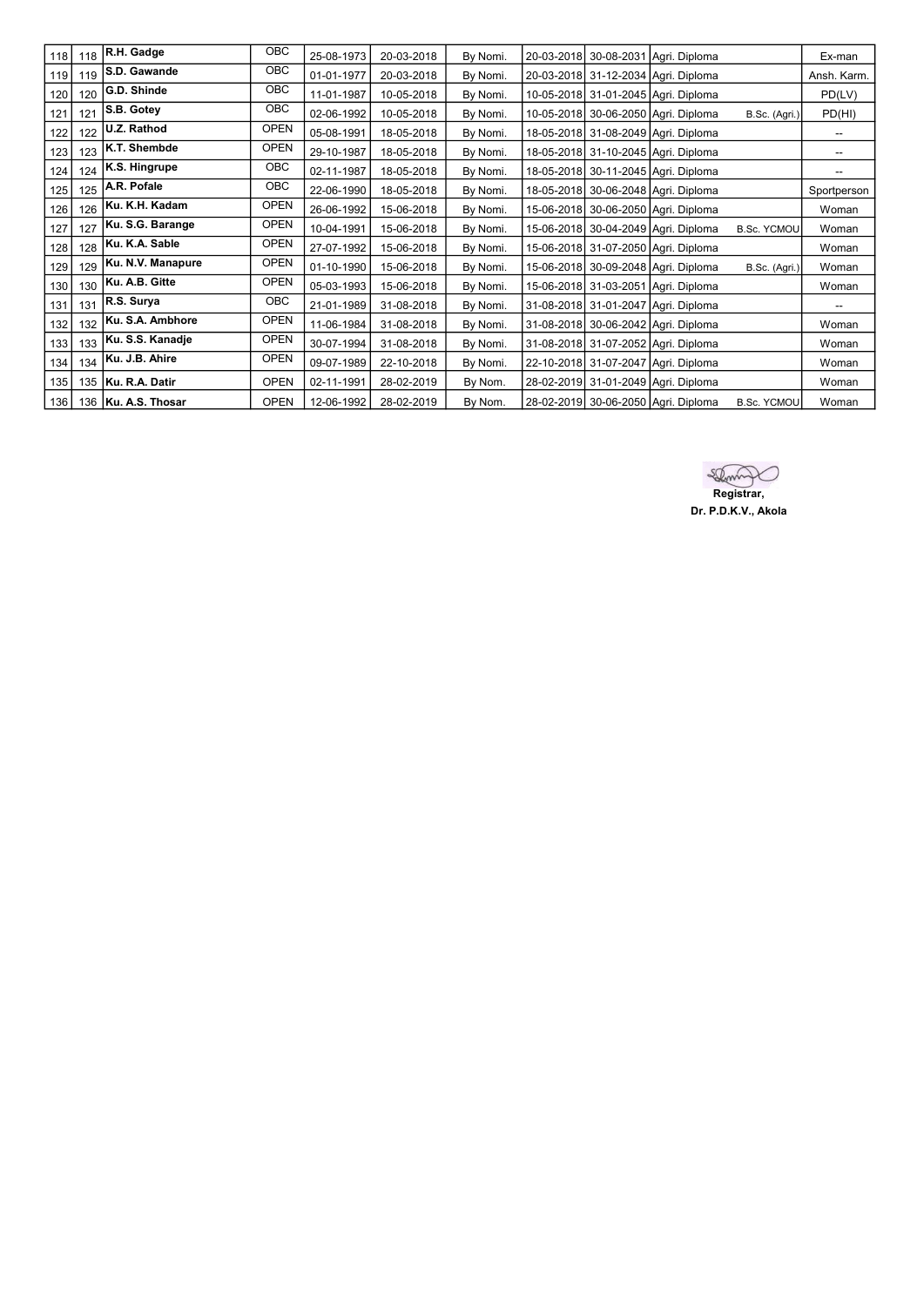| 118 | 118 | R.H. Gadge            | OBC         | 25-08-1973 | 20-03-2018 | By Nomi. |  | 20-03-2018 30-08-2031 Agri. Diploma |                    | Ex-man      |
|-----|-----|-----------------------|-------------|------------|------------|----------|--|-------------------------------------|--------------------|-------------|
| 119 | 119 | S.D. Gawande          | OBC         | 01-01-1977 | 20-03-2018 | By Nomi. |  | 20-03-2018 31-12-2034 Agri. Diploma |                    | Ansh. Karm. |
| 120 | 120 | G.D. Shinde           | <b>OBC</b>  | 11-01-1987 | 10-05-2018 | By Nomi. |  | 10-05-2018 31-01-2045 Agri. Diploma |                    | PD(LV)      |
| 121 | 121 | S.B. Gotey            | <b>OBC</b>  | 02-06-1992 | 10-05-2018 | By Nomi. |  | 10-05-2018 30-06-2050 Agri. Diploma | B.Sc. (Agri.)      | PD(HI)      |
| 122 | 122 | U.Z. Rathod           | <b>OPEN</b> | 05-08-1991 | 18-05-2018 | By Nomi. |  | 18-05-2018 31-08-2049 Agri. Diploma |                    | --          |
| 123 | 123 | K.T. Shembde          | <b>OPEN</b> | 29-10-1987 | 18-05-2018 | By Nomi. |  | 18-05-2018 31-10-2045 Agri. Diploma |                    | --          |
| 124 | 124 | K.S. Hingrupe         | OBC         | 02-11-1987 | 18-05-2018 | By Nomi. |  | 18-05-2018 30-11-2045 Agri. Diploma |                    | --          |
| 125 | 125 | A.R. Pofale           | <b>OBC</b>  | 22-06-1990 | 18-05-2018 | By Nomi. |  | 18-05-2018 30-06-2048 Agri. Diploma |                    | Sportperson |
| 126 | 126 | Ku. K.H. Kadam        | <b>OPEN</b> | 26-06-1992 | 15-06-2018 | By Nomi. |  | 15-06-2018 30-06-2050 Agri. Diploma |                    | Woman       |
| 127 | 127 | Ku. S.G. Barange      | <b>OPEN</b> | 10-04-1991 | 15-06-2018 | By Nomi. |  | 15-06-2018 30-04-2049 Agri. Diploma | <b>B.Sc. YCMOU</b> | Woman       |
| 128 | 128 | Ku. K.A. Sable        | <b>OPEN</b> | 27-07-1992 | 15-06-2018 | By Nomi. |  | 15-06-2018 31-07-2050 Agri. Diploma |                    | Woman       |
| 129 | 129 | Ku. N.V. Manapure     | <b>OPEN</b> | 01-10-1990 | 15-06-2018 | By Nomi. |  | 15-06-2018 30-09-2048 Agri. Diploma | B.Sc. (Agri.)      | Woman       |
| 130 | 130 | Ku. A.B. Gitte        | <b>OPEN</b> | 05-03-1993 | 15-06-2018 | By Nomi. |  | 15-06-2018 31-03-2051 Agri. Diploma |                    | Woman       |
| 131 | 131 | R.S. Surya            | OBC         | 21-01-1989 | 31-08-2018 | By Nomi. |  | 31-08-2018 31-01-2047 Agri. Diploma |                    | --          |
| 132 | 132 | Ku. S.A. Ambhore      | <b>OPEN</b> | 11-06-1984 | 31-08-2018 | By Nomi. |  | 31-08-2018 30-06-2042 Agri. Diploma |                    | Woman       |
| 133 | 133 | Ku. S.S. Kanadje      | <b>OPEN</b> | 30-07-1994 | 31-08-2018 | By Nomi. |  | 31-08-2018 31-07-2052 Agri. Diploma |                    | Woman       |
| 134 | 134 | Ku. J.B. Ahire        | <b>OPEN</b> | 09-07-1989 | 22-10-2018 | By Nomi. |  | 22-10-2018 31-07-2047 Agri. Diploma |                    | Woman       |
| 135 |     | 135   Ku. R.A. Datir  | <b>OPEN</b> | 02-11-1991 | 28-02-2019 | By Nom.  |  | 28-02-2019 31-01-2049 Agri. Diploma |                    | Woman       |
| 136 |     | 136   Ku. A.S. Thosar | <b>OPEN</b> | 12-06-1992 | 28-02-2019 | By Nom.  |  | 28-02-2019 30-06-2050 Agri. Diploma | <b>B.Sc. YCMOU</b> | Woman       |

**Registrar**, Dr. P.D.K.V., Akola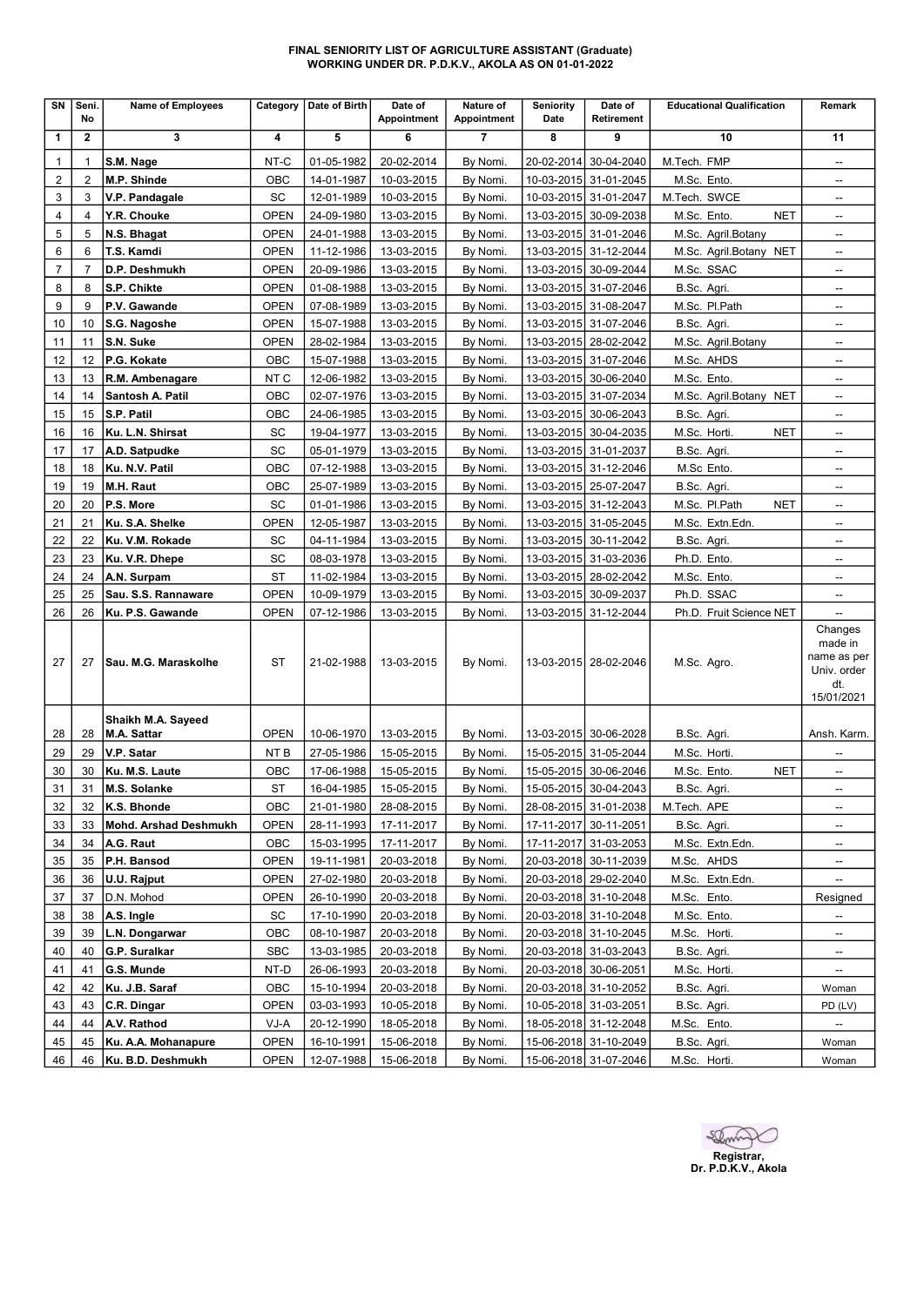#### FINAL SENIORITY LIST OF AGRICULTURE ASSISTANT (Graduate) WORKING UNDER DR. P.D.K.V., AKOLA AS ON 01-01-2022

| SN             | Seni.<br>No    | <b>Name of Employees</b>           | Category            | Date of Birth | Date of<br>Appointment   | Nature of<br>Appointment | <b>Seniority</b><br>Date | Date of<br>Retirement                          | <b>Educational Qualification</b> | Remark                                                                |
|----------------|----------------|------------------------------------|---------------------|---------------|--------------------------|--------------------------|--------------------------|------------------------------------------------|----------------------------------|-----------------------------------------------------------------------|
| 1              | $\mathbf{2}$   | 3                                  | 4                   | 5             | 6                        | $\overline{7}$           | 8                        | 9                                              | 10                               | 11                                                                    |
| 1              | 1              | S.M. Nage                          | NT-C                | 01-05-1982    | 20-02-2014               | By Nomi.                 |                          | 20-02-2014 30-04-2040                          | M.Tech. FMP                      | $\overline{\phantom{a}}$                                              |
| $\overline{2}$ | $\overline{2}$ | M.P. Shinde                        | OBC                 | 14-01-1987    | 10-03-2015               | By Nomi.                 |                          | 10-03-2015 31-01-2045                          | M.Sc. Ento.                      | $\overline{\phantom{a}}$                                              |
| 3              | 3              | V.P. Pandagale                     | SC                  | 12-01-1989    | 10-03-2015               | By Nomi.                 |                          | 10-03-2015 31-01-2047                          | M.Tech. SWCE                     | --                                                                    |
| 4              | 4              | Y.R. Chouke                        | <b>OPEN</b>         | 24-09-1980    | 13-03-2015               | By Nomi.                 |                          | 13-03-2015 30-09-2038                          | M.Sc. Ento.<br><b>NET</b>        | --                                                                    |
| 5              | 5              | N.S. Bhagat                        | <b>OPEN</b>         | 24-01-1988    | 13-03-2015               | By Nomi.                 |                          | 13-03-2015 31-01-2046                          | M.Sc. Agril.Botany               | $\overline{\phantom{a}}$                                              |
| 6              | 6              | T.S. Kamdi                         | <b>OPEN</b>         | 11-12-1986    | 13-03-2015               | By Nomi.                 |                          | 13-03-2015 31-12-2044                          | M.Sc. Agril.Botany NET           | $\overline{\phantom{a}}$                                              |
| $\overline{7}$ | $\overline{7}$ | D.P. Deshmukh                      | <b>OPEN</b>         | 20-09-1986    | 13-03-2015               | By Nomi.                 |                          | 13-03-2015 30-09-2044                          | M.Sc. SSAC                       |                                                                       |
| 8              | 8              | S.P. Chikte                        | <b>OPEN</b>         | 01-08-1988    | 13-03-2015               | By Nomi.                 |                          | 13-03-2015 31-07-2046                          | B.Sc. Agri.                      | $\overline{\phantom{a}}$                                              |
| 9              | 9              | P.V. Gawande                       | <b>OPEN</b>         | 07-08-1989    | 13-03-2015               | By Nomi.                 |                          | 13-03-2015 31-08-2047                          | M.Sc. Pl.Path                    | $\overline{\phantom{a}}$                                              |
| 10             | 10             | S.G. Nagoshe                       | <b>OPEN</b>         | 15-07-1988    | 13-03-2015               | By Nomi.                 |                          | 13-03-2015 31-07-2046                          | B.Sc. Agri.                      | $\overline{\phantom{a}}$                                              |
| 11             | 11             | S.N. Suke                          | <b>OPEN</b>         | 28-02-1984    | 13-03-2015               | By Nomi.                 |                          | 13-03-2015 28-02-2042                          | M.Sc. Agril.Botany               | $\overline{\phantom{a}}$                                              |
| 12             | 12             | P.G. Kokate                        | OBC                 | 15-07-1988    | 13-03-2015               | By Nomi.                 |                          | 13-03-2015 31-07-2046                          | M.Sc. AHDS                       | --                                                                    |
| 13             | 13             | R.M. Ambenagare                    | NT C                | 12-06-1982    | 13-03-2015               | By Nomi.                 |                          | 13-03-2015 30-06-2040                          | M.Sc. Ento.                      | --                                                                    |
| 14             | 14             | Santosh A. Patil                   | OBC                 | 02-07-1976    | 13-03-2015               | By Nomi.                 |                          | 13-03-2015 31-07-2034                          | M.Sc. Agril.Botany NET           | --                                                                    |
| 15             | 15             | S.P. Patil                         | OBC                 | 24-06-1985    | 13-03-2015               | By Nomi.                 |                          | 13-03-2015 30-06-2043                          | B.Sc. Agri.                      | $\overline{\phantom{a}}$                                              |
| 16             | 16             | Ku. L.N. Shirsat                   | SC                  | 19-04-1977    | 13-03-2015               | By Nomi.                 |                          | 13-03-2015 30-04-2035                          | <b>NET</b><br>M.Sc. Horti.       | $\overline{\phantom{a}}$                                              |
| 17             | 17             | A.D. Satpudke                      | SC                  | 05-01-1979    | 13-03-2015               | By Nomi.                 |                          | 13-03-2015 31-01-2037                          | B.Sc. Agri.                      | --                                                                    |
| 18             | 18             | Ku. N.V. Patil                     | OBC                 | 07-12-1988    | 13-03-2015               | By Nomi.                 |                          | 13-03-2015 31-12-2046                          | M.Sc Ento.                       | $\overline{\phantom{a}}$                                              |
| 19             | 19             | M.H. Raut                          | OBC                 | 25-07-1989    | 13-03-2015               | By Nomi.                 |                          | 13-03-2015 25-07-2047                          | B.Sc. Agri.                      | $\overline{\phantom{a}}$                                              |
| 20             | 20             | P.S. More                          | SC                  | 01-01-1986    | 13-03-2015               | By Nomi.                 |                          | 13-03-2015 31-12-2043                          | M.Sc. Pl.Path<br><b>NET</b>      | $\overline{\phantom{a}}$                                              |
| 21             | 21             | Ku. S.A. Shelke                    | <b>OPEN</b>         | 12-05-1987    | 13-03-2015               | By Nomi.                 |                          | 13-03-2015 31-05-2045                          | M.Sc. Extn.Edn.                  | $\overline{\phantom{a}}$                                              |
| 22             | 22             | Ku. V.M. Rokade                    | SC                  | 04-11-1984    | 13-03-2015               | By Nomi.                 |                          | 13-03-2015 30-11-2042                          | B.Sc. Agri.                      | $\overline{\phantom{a}}$                                              |
| 23             | 23             | Ku. V.R. Dhepe                     | SC                  | 08-03-1978    | 13-03-2015               | By Nomi.                 |                          | 13-03-2015 31-03-2036                          | Ph.D. Ento.                      | $\overline{\phantom{a}}$                                              |
| 24             | 24             | A.N. Surpam                        | ST                  | 11-02-1984    | 13-03-2015               | By Nomi.                 |                          | 13-03-2015 28-02-2042                          | M.Sc. Ento.                      |                                                                       |
| 25             | 25             | Sau. S.S. Rannaware                | <b>OPEN</b>         | 10-09-1979    | 13-03-2015               | By Nomi.                 |                          | 13-03-2015 30-09-2037                          | Ph.D. SSAC                       | --                                                                    |
| 26             | 26             | Ku. P.S. Gawande                   | <b>OPEN</b>         | 07-12-1986    | 13-03-2015               | By Nomi.                 |                          | 13-03-2015 31-12-2044                          | Ph.D. Fruit Science NET          |                                                                       |
| 27             | 27             | Sau. M.G. Maraskolhe               | ST                  | 21-02-1988    | 13-03-2015               | By Nomi.                 |                          | 13-03-2015 28-02-2046                          | M.Sc. Agro.                      | Changes<br>made in<br>name as per<br>Univ. order<br>dt.<br>15/01/2021 |
|                |                | Shaikh M.A. Sayeed                 |                     |               |                          |                          |                          |                                                |                                  |                                                                       |
| 28             | 28             | M.A. Sattar                        | <b>OPEN</b>         | 10-06-1970    | 13-03-2015               | By Nomi.                 |                          | 13-03-2015 30-06-2028                          | B.Sc. Agri.                      | Ansh. Karm.                                                           |
| 29             | 29             | V.P. Satar                         | NT <sub>B</sub>     | 27-05-1986    | 15-05-2015               | By Nomi.                 |                          | 15-05-2015 31-05-2044                          | M.Sc. Horti.                     |                                                                       |
| 30             | 30             | Ku. M.S. Laute                     | OBC                 | 17-06-1988    | 15-05-2015               | By Nomi.                 |                          | 15-05-2015 30-06-2046                          | M.Sc. Ento.<br><b>NET</b>        | $\overline{\phantom{a}}$                                              |
| 31             | 31             | M.S. Solanke                       | ST                  | 16-04-1985    | 15-05-2015               | By Nomi.                 |                          | 15-05-2015 30-04-2043                          | B.Sc. Agri.                      |                                                                       |
| 32             | 32             | K.S. Bhonde                        | OBC                 | 21-01-1980    | 28-08-2015               | By Nomi.                 |                          | 28-08-2015 31-01-2038                          | M.Tech. APE                      | --                                                                    |
| 33             | 33             | <b>Mohd. Arshad Deshmukh</b>       | <b>OPEN</b>         | 28-11-1993    | 17-11-2017               | By Nomi.                 |                          | 17-11-2017 30-11-2051                          | B.Sc. Agri.                      | --                                                                    |
| 34             | 34             | A.G. Raut                          | OBC                 | 15-03-1995    | 17-11-2017               | By Nomi.                 |                          | 17-11-2017 31-03-2053                          | M.Sc. Extn.Edn.                  | --                                                                    |
| 35             | 35             | P.H. Bansod                        | <b>OPEN</b>         | 19-11-1981    | 20-03-2018               | By Nomi.                 |                          | 20-03-2018 30-11-2039                          | M.Sc. AHDS                       | --                                                                    |
| 36             | 36             | U.U. Rajput                        | <b>OPEN</b>         | 27-02-1980    | 20-03-2018               | By Nomi.                 |                          | 20-03-2018 29-02-2040                          | M.Sc. Extn.Edn.                  | --                                                                    |
| 37             | 37             | D.N. Mohod                         | OPEN                | 26-10-1990    | 20-03-2018               | By Nomi.                 |                          | 20-03-2018 31-10-2048                          | M.Sc. Ento.                      | Resigned                                                              |
| 38             | 38             | A.S. Ingle                         | SC                  | 17-10-1990    | 20-03-2018               | By Nomi.                 |                          | 20-03-2018 31-10-2048                          | M.Sc. Ento.                      | --                                                                    |
| 39             | 39             | L.N. Dongarwar                     | OBC                 | 08-10-1987    | 20-03-2018               | By Nomi.                 |                          | 20-03-2018 31-10-2045                          | M.Sc. Horti.                     | $\overline{\phantom{a}}$                                              |
| 40             | 40             | G.P. Suralkar                      | <b>SBC</b>          | 13-03-1985    | 20-03-2018               | By Nomi.                 |                          | 20-03-2018 31-03-2043                          | B.Sc. Agri.                      | --                                                                    |
| 41             | 41             | G.S. Munde                         | NT-D                | 26-06-1993    | 20-03-2018               | By Nomi.                 |                          | 20-03-2018 30-06-2051                          | M.Sc. Horti.                     |                                                                       |
| 42             | 42             | Ku. J.B. Saraf                     | OBC                 | 15-10-1994    | 20-03-2018               | By Nomi.                 |                          | 20-03-2018 31-10-2052                          | B.Sc. Agri.                      | Woman                                                                 |
| 43             | 43             | C.R. Dingar                        | OPEN                | 03-03-1993    | 10-05-2018               | By Nomi.                 |                          | 10-05-2018 31-03-2051                          | B.Sc. Agri.                      | PD (LV)                                                               |
| 44<br>45       | 44<br>45       | A.V. Rathod<br>Ku. A.A. Mohanapure | VJ-A<br><b>OPEN</b> | 20-12-1990    | 18-05-2018<br>15-06-2018 | By Nomi.                 |                          | 18-05-2018 31-12-2048<br>15-06-2018 31-10-2049 | M.Sc. Ento.                      | --                                                                    |
|                |                |                                    |                     | 16-10-1991    |                          | By Nomi.                 |                          |                                                | B.Sc. Agri.                      | Woman                                                                 |

Registrar, Dr. P.D.K.V., Akola